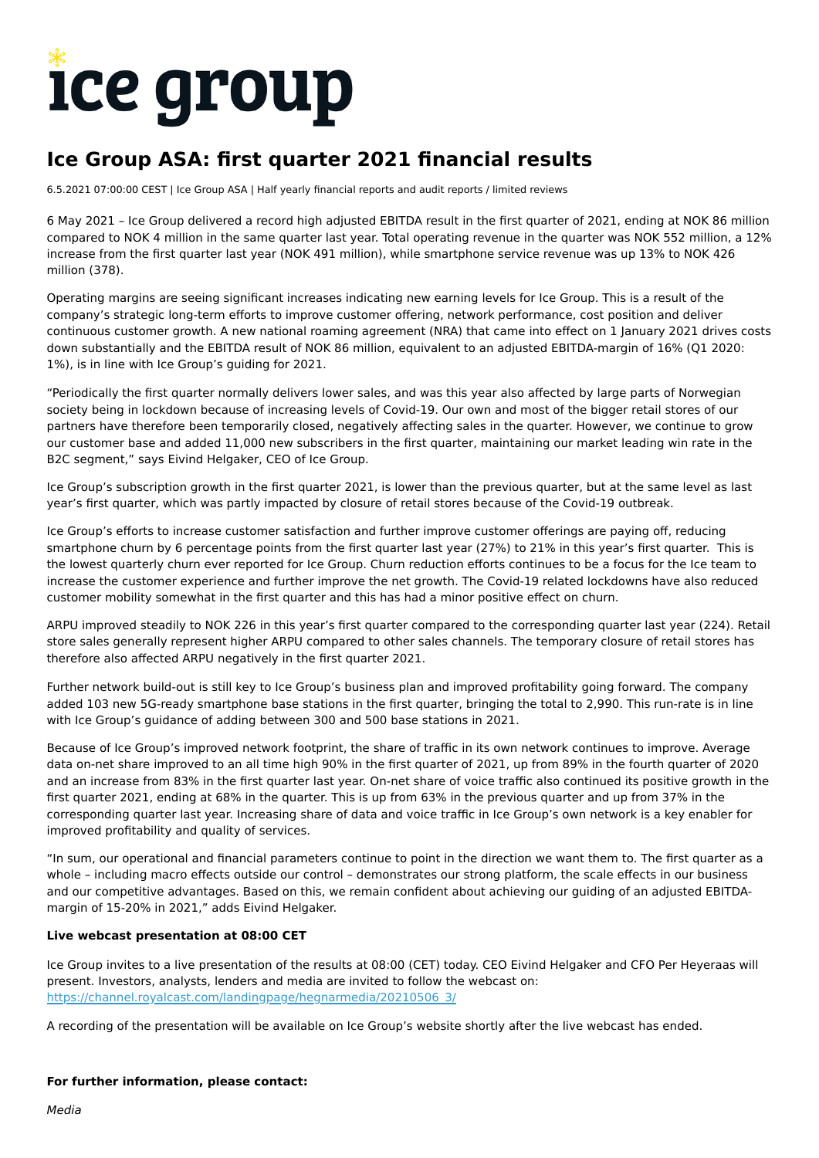# **ICE group**

# **Ice Group ASA: first quarter 2021 financial results**

6.5.2021 07:00:00 CEST | Ice Group ASA | Half yearly financial reports and audit reports / limited reviews

6 May 2021 – Ice Group delivered a record high adjusted EBITDA result in the first quarter of 2021, ending at NOK 86 million compared to NOK 4 million in the same quarter last year. Total operating revenue in the quarter was NOK 552 million, a 12% increase from the first quarter last year (NOK 491 million), while smartphone service revenue was up 13% to NOK 426 million (378).

Operating margins are seeing significant increases indicating new earning levels for Ice Group. This is a result of the company's strategic long-term efforts to improve customer offering, network performance, cost position and deliver continuous customer growth. A new national roaming agreement (NRA) that came into effect on 1 January 2021 drives costs down substantially and the EBITDA result of NOK 86 million, equivalent to an adjusted EBITDA-margin of 16% (Q1 2020: 1%), is in line with Ice Group's guiding for 2021.

"Periodically the first quarter normally delivers lower sales, and was this year also affected by large parts of Norwegian society being in lockdown because of increasing levels of Covid-19. Our own and most of the bigger retail stores of our partners have therefore been temporarily closed, negatively affecting sales in the quarter. However, we continue to grow our customer base and added 11,000 new subscribers in the first quarter, maintaining our market leading win rate in the B2C segment," says Eivind Helgaker, CEO of Ice Group.

Ice Group's subscription growth in the first quarter 2021, is lower than the previous quarter, but at the same level as last year's first quarter, which was partly impacted by closure of retail stores because of the Covid-19 outbreak.

Ice Group's efforts to increase customer satisfaction and further improve customer offerings are paying off, reducing smartphone churn by 6 percentage points from the first quarter last year (27%) to 21% in this year's first quarter. This is the lowest quarterly churn ever reported for Ice Group. Churn reduction efforts continues to be a focus for the Ice team to increase the customer experience and further improve the net growth. The Covid-19 related lockdowns have also reduced customer mobility somewhat in the first quarter and this has had a minor positive effect on churn.

ARPU improved steadily to NOK 226 in this year's first quarter compared to the corresponding quarter last year (224). Retail store sales generally represent higher ARPU compared to other sales channels. The temporary closure of retail stores has therefore also affected ARPU negatively in the first quarter 2021.

Further network build-out is still key to Ice Group's business plan and improved profitability going forward. The company added 103 new 5G-ready smartphone base stations in the first quarter, bringing the total to 2,990. This run-rate is in line with Ice Group's guidance of adding between 300 and 500 base stations in 2021.

Because of Ice Group's improved network footprint, the share of traffic in its own network continues to improve. Average data on-net share improved to an all time high 90% in the first quarter of 2021, up from 89% in the fourth quarter of 2020 and an increase from 83% in the first quarter last year. On-net share of voice traffic also continued its positive growth in the first quarter 2021, ending at 68% in the quarter. This is up from 63% in the previous quarter and up from 37% in the corresponding quarter last year. Increasing share of data and voice traffic in Ice Group's own network is a key enabler for improved profitability and quality of services.

"In sum, our operational and financial parameters continue to point in the direction we want them to. The first quarter as a whole – including macro effects outside our control – demonstrates our strong platform, the scale effects in our business and our competitive advantages. Based on this, we remain confident about achieving our guiding of an adjusted EBITDAmargin of 15-20% in 2021," adds Eivind Helgaker.

#### **Live webcast presentation at 08:00 CET**

Ice Group invites to a live presentation of the results at 08:00 (CET) today. CEO Eivind Helgaker and CFO Per Heyeraas will present. Investors, analysts, lenders and media are invited to follow the webcast on: [https://channel.royalcast.com/landingpage/hegnarmedia/20210506\\_3/](https://channel.royalcast.com/landingpage/hegnarmedia/20210506_3/)

A recording of the presentation will be available on Ice Group's website shortly after the live webcast has ended.

#### **For further information, please contact:**

Media